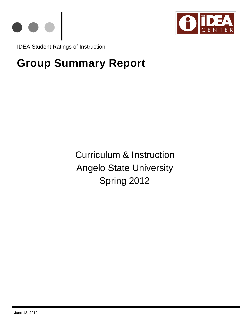



IDEA Student Ratings of Instruction

# **Group Summary Report**

Curriculum & Instruction Angelo State University Spring 2012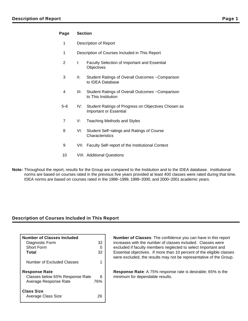## **Page Section**

- 1 Description of Report
- 1 Description of Courses Included in This Report
- 2 I: Faculty Selection of Important and Essential **Objectives**
- 3 II: Student Ratings of Overall Outcomes − Comparison to IDEA Database
- 4 III: Student Ratings of Overall Outcomes − Comparison to This Institution
- 5−6 IV: Student Ratings of Progress on Objectives Chosen as Important or Essential
- 7 V: Teaching Methods and Styles
- 8 VI: Student Self−ratings and Ratings of Course **Characteristics**
- 9 VII: Faculty Self–report of the Institutional Context
- 10 VIII: Additional Questions
- **Note:** Throughout the report, results for the Group are compared to the Institution and to the IDEA database. Institutional norms are based on courses rated in the previous five years provided at least 400 classes were rated during that time. IDEA norms are based on courses rated in the 1998−1999, 1999−2000, and 2000−2001 academic years.

## **Description of Courses Included in This Report**

| <b>Number of Classes Included</b>              |     |
|------------------------------------------------|-----|
| Diagnostic Form                                | 32  |
| Short Form                                     |     |
| Total                                          | 32  |
| Number of Excluded Classes                     |     |
| <b>Response Rate</b>                           |     |
| Classes below 65% Response Rate                | 6   |
| Average Response Rate                          | 76% |
| <b>Class Size</b><br><b>Average Class Size</b> |     |

**Number of Classes**: The confidence you can have in this report increases with the number of classes included. Classes were excluded if faculty members neglected to select Important and Essential objectives. If more than 10 percent of the eligible classes were excluded, the results may not be representative of the Group.

**Response Rate**: A 75% response rate is desirable; 65% is the minimum for dependable results.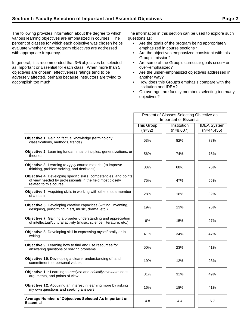The following provides information about the degree to which various learning objectives are emphasized in courses. The percent of classes for which each objective was chosen helps evaluate whether or not program objectives are addressed with appropriate frequency.

In general, it is recommended that 3−5 objectives be selected as Important or Essential for each class. When more than 5 objectives are chosen, effectiveness ratings tend to be adversely affected, perhaps because instructors are trying to accomplish too much.

The information in this section can be used to explore such questions as:

- Are the goals of the program being appropriately emphasized in course sections?
- Are the objectives emphasized consistent with this Group's mission?
- Are some of the Group's curricular goals under− or over−emphasized?
- Are the under−emphasized objectives addressed in another way?
- How does this Group's emphasis compare with the Institution and IDEA?
- On average, are faculty members selecting too many objectives?

|                                                                                                                                                          | Percent of Classes Selecting Objective as |             |                    |  |  |
|----------------------------------------------------------------------------------------------------------------------------------------------------------|-------------------------------------------|-------------|--------------------|--|--|
|                                                                                                                                                          | <b>Important or Essential</b>             |             |                    |  |  |
|                                                                                                                                                          | <b>This Group</b>                         | Institution | <b>IDEA System</b> |  |  |
|                                                                                                                                                          | $(n=32)$                                  | $(n=8,607)$ | $(n=44, 455)$      |  |  |
| Objective 1: Gaining factual knowledge (terminology,<br>classifications, methods, trends)                                                                | 53%                                       | 82%         | 78%                |  |  |
| <b>Objective 2:</b> Learning fundamental principles, generalizations, or<br>theories                                                                     | 56%                                       | 74%         | 75%                |  |  |
| Objective 3: Learning to apply course material (to improve<br>thinking, problem solving, and decisions)                                                  | 88%                                       | 68%         | 75%                |  |  |
| Objective 4: Developing specific skills, competencies, and points<br>of view needed by professionals in the field most closely<br>related to this course | 75%                                       | 47%         | 55%                |  |  |
| Objective 5: Acquiring skills in working with others as a member<br>of a team                                                                            | 28%                                       | 18%         | 32%                |  |  |
| Objective 6: Developing creative capacities (writing, inventing,<br>designing, performing in art, music, drama, etc.)                                    | 19%                                       | 13%         | 25%                |  |  |
| Objective 7: Gaining a broader understanding and appreciation<br>of intellectual/cultural activity (music, science, literature, etc.)                    | 6%                                        | 15%         | 27%                |  |  |
| Objective 8: Developing skill in expressing myself orally or in<br>writing                                                                               | 41%                                       | 34%         | 47%                |  |  |
| Objective 9: Learning how to find and use resources for<br>answering questions or solving problems                                                       | 50%                                       | 23%         | 41%                |  |  |
| Objective 10: Developing a clearer understanding of, and<br>commitment to, personal values                                                               | 19%                                       | 12%         | 23%                |  |  |
| Objective 11: Learning to analyze and critically evaluate ideas,<br>arguments, and points of view                                                        | 31%                                       | 31%         | 49%                |  |  |
| Objective 12: Acquiring an interest in learning more by asking<br>my own questions and seeking answers                                                   | 16%                                       | 18%         | 41%                |  |  |
| Average Number of Objectives Selected As Important or<br><b>Essential</b>                                                                                | 4.8                                       | 4.4         | 5.7                |  |  |
|                                                                                                                                                          |                                           |             |                    |  |  |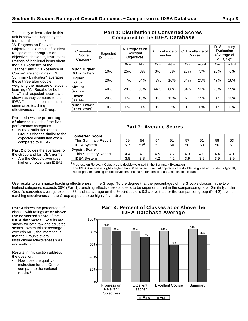The quality of instruction in this unit is shown as judged by the four overall outcomes. "A. Progress on Relevant Objectives" is a result of student ratings of their progress on objectives chosen by instructors. Ratings of individual items about the "B. Excellence of the Teacher" and "C. Excellence of Course" are shown next. "D. Summary Evaluation" averages these three after double weighting the measure of student learning (A). Results for both "raw" and "adjusted" scores are shown as they compare to the IDEA Database. Use results to summarize teaching

effectiveness in the Group.

**Part 1** shows the **percentage of classes** in each of the five performance categories.

Is the distribution of this Group's classes similar to the expected distribution when

compared to IDEA?

**Part 2** provides the averages for the Group and for IDEA norms.

Are the Group's averages higher or lower than IDEA?

# **Part 1: Distribution of Converted Scores Compared to the IDEA Database**

| Converted<br>Score<br>Category | Expected<br><b>Distribution</b> |     | A. Progress on<br>Relevant<br><b>Objectives</b> | B. Excellence of IC. Excellence of<br>Teacher |        | Course |        | D. Summary<br>Evaluation<br>(Average of<br>$A, B, C$ <sup>1</sup> |        |  |
|--------------------------------|---------------------------------|-----|-------------------------------------------------|-----------------------------------------------|--------|--------|--------|-------------------------------------------------------------------|--------|--|
|                                |                                 | Raw | Adjstd                                          | Raw                                           | Adjstd | Raw    | Adjstd | Raw                                                               | Adjstd |  |
| Much Higher<br>(63 or higher)  | 10%                             | 25% | 3%                                              | 3%                                            | 3%     | 25%    | 3%     | 25%                                                               | $0\%$  |  |
| Higher<br>$(56 - 62)$          | 20%                             | 47% | 34%                                             | 47%                                           | 16%    | 34%    | 25%    | 47%                                                               | 28%    |  |
| Similar<br>$(45 - 55)$         | 40%                             | 28% | 50%                                             | 44%                                           | 66%    | 34%    | 53%    | 25%                                                               | 59%    |  |
| Lower<br>$(38 - 44)$           | 20%                             | 0%  | 13%                                             | 3%                                            | 13%    | 6%     | 19%    | 3%                                                                | 13%    |  |
| Much Lower<br>(37 or lower)    | 10%                             | 0%  | 0%                                              | 3%                                            | 3%     | $0\%$  | 0%     | 0%                                                                | $0\%$  |  |
|                                |                                 |     |                                                 |                                               |        |        |        |                                                                   |        |  |

# **Part 2: Average Scores**

| <b>Converted Score</b><br>This Summary Report | 59              | 54              | 54  | 51  | 57  | 51  | 58  | 53  |
|-----------------------------------------------|-----------------|-----------------|-----|-----|-----|-----|-----|-----|
| <b>IDEA System</b>                            | 51 <sup>2</sup> | 51 <sup>2</sup> | 50  | 50  | 50  | 50  | 50  |     |
| 5-point Scale                                 |                 |                 |     |     |     |     |     |     |
| This Summary Report                           | 4.4             | 4.1             | 4.5 | 4.2 | 4.3 | 4.0 | 4.4 |     |
| <b>IDEA System</b>                            | 3.8             | 3.8             | 4.2 | 4.2 | 3.9 | 3.9 | 3.9 | 3.9 |

 $1$ Progress on Relevant Objectives is double weighted in the Summary Evaluation.

 $^2$  The IDEA Average is slightly higher than 50 because Essential objectives are double weighted and students typically report greater learning on objectives that the instructor identified as Essential to the class.

Use results to summarize teaching effectiveness in the Group. To the degree that the percentages of the Group's classes in the two highest categories exceeds 30% (Part 1), teaching effectiveness appears to be superior to that in the comparison group. Similarly, if the Group's converted average exceeds 55, and its average on the 5−point scale is 0.3 above that for the comparison group (Part 2), overall teaching effectiveness in the Group appears to be highly favorable.

**Part 3** shows the percentage of classes with ratings **at or above the converted score** of the **IDEA databases**. Results are shown for both raw and adjusted scores. When this percentage exceeds 60%, the inference is that the Group's overall instructional effectiveness was unusually high.

Results in this section address the question:

How does the quality of instruction for this Group compare to the national results?

# **Part 3: Percent of Classes at or Above the IDEA Database Average**

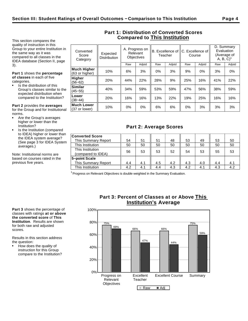This section compares the quality of instruction in this Group to your entire Institution in the same way as it was compared to all classes in the IDEA database (Section II, page 3).

**Part 1** shows the **percentage of classes** in each of five categories.

Is the distribution of this Group's classes similar to the expected distribution when compared to the Institution?

**Lower**<br>(38–44)

**Much Lower**

**Part 2** provides the **averages** for the Group and for Institutional norms.

- Are the Group's averages higher or lower than the Institution?
- Is the Institution (compared to IDEA) higher or lower than the IDEA system average? (See page 3 for IDEA System averages.)

Note: Institutional norms are based on courses rated in the previous five years.

| Converted<br>Score<br>Category       | Expected<br><b>Distribution</b> |     | A. Progress on<br>Relevant<br><b>Objectives</b> | Teacher |        | B. Excellence of IC. Excellence of<br>Course |        | D. Summary<br>Evaluation<br>(Average of<br>A, B, C |        |
|--------------------------------------|---------------------------------|-----|-------------------------------------------------|---------|--------|----------------------------------------------|--------|----------------------------------------------------|--------|
|                                      |                                 | Raw | Adjstd                                          | Raw     | Adjstd | Raw                                          | Adjstd | Raw                                                | Adjstd |
| <b>Much Higher</b><br>(63 or higher) | 10%                             | 6%  | 3%                                              | 0%      | 3%     | 9%                                           | 0%     | 3%                                                 | $0\%$  |
| Higher<br>$(56 - 62)$                | 20%                             | 44% | 22%                                             | 28%     | 9%     | 25%                                          | 16%    | 41%                                                | 22%    |
| <b>Similar</b><br>$(45 - 55)$        | 40%                             | 34% | 59%                                             | 53%     | 59%    | 47%                                          | 56%    | 38%                                                | 59%    |

# **Part 2: Average Scores**

(38−44) 20% 16% 16% 13% 22% 19% 25% 16% 16%

|| 10% || 0% || 0% || 6% || 6% || 0% || 3% || 3% || 3%<br>(37 or lower) || 10% || 0% || 0% || 6% || 0% || 3% || 3% || 3%

| <b>Converted Score</b> |     |     |     |     |     |     |     |     |
|------------------------|-----|-----|-----|-----|-----|-----|-----|-----|
| This Summary Report    | 54  | 51  | 51  | 48  | 53  | 49  | 53  | 50  |
| This Institution       | 50  | 50  | 50  | 50  | 50  | 50  | 50  | 50  |
| This Institution       |     |     |     |     |     |     |     |     |
| (compared to IDEA)     | 56  | 53  | 53  | 52  | 54  | 53  | 55  | 53  |
| 5-point Scale          |     |     |     |     |     |     |     |     |
| This Summary Report    | 4.4 | 4.1 | 4.5 | 4.2 | 4.3 | 4.0 | 4.4 | 4.1 |
| This Institution       | 4.2 | 4.1 | 4.4 | 4.3 | 4.2 | 4.1 | 4.3 | 4.2 |

 $1$  Progress on Relevant Objectives is double weighted in the Summary Evaluation.

**Part 3** shows the percentage of classes with ratings **at or above the converted score** of **This Institution**. Results are shown for both raw and adjusted scores.

Results in this section address the question:

How does the quality of instruction for this Group compare to the Institution?

# **Part 3: Percent of Classes at or Above This Institution's Average**



# **Part 1: Distribution of Converted Scores Compared to This Institution**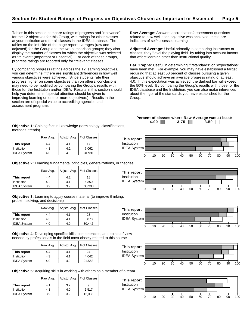Tables in this section compare ratings of progress and "relevance" for the 12 objectives for this Group, with ratings for other classes at your institution and for all classes in the IDEA database. The tables on the left side of the page report averages (raw and adjusted) for the Group and the two comparison groups; they also display the number of classes for which the objective was selected as "relevant" (Important or Essential). For each of these groups, progress ratings are reported only for "relevant" classes.

By comparing progress ratings across the 12 learning objectives, you can determine if there are significant differences in how well various objectives were achieved. Since students rate their progress higher on some objectives than on others, conclusions may need to be modified by comparing the Group's results with those for the Institution and/or IDEA. Results in this section should help you determine if special attention should be given to improving learning on one or more objective(s). Results in the section are of special value to accrediting agencies and assessment programs.

**Raw Average**: Answers accreditation/assessment questions related to how well each objective was achieved; these are indicators of self−assessed learning.

**Adjusted Average**: Useful primarily in comparing instructors or classes; they "level the playing field" by taking into account factors that affect learning other than instructional quality.

**Bar Graphs**: Useful in determining if "standards" or "expectations" have been met. For example, you may have established a target requiring that at least 50 percent of classes pursuing a given objective should achieve an average progress rating of at least 4.0. If this expectation was achieved, the darkest bar will exceed the 50% level. By comparing the Group's results with those for the IDEA database and the Institution, you can also make inferences about the rigor of the standards you have established for the Group.

**Percent of classes where Raw Average was at least: 4.00 3.75 3.50** 

**Objective 1**: Gaining factual knowledge (terminology, classifications, methods, trends)

|                    | Raw Avg. |     | Adjstd. Avg. $#$ of Classes | This report        |    |    |    |    |    |    |    |    |    |     |
|--------------------|----------|-----|-----------------------------|--------------------|----|----|----|----|----|----|----|----|----|-----|
| This report        | 4.4      | 4.1 |                             | <b>Institution</b> |    |    |    |    |    |    |    |    |    |     |
| Institution        | 4.3      | 4.2 | 7,062                       | <b>IDEA System</b> |    |    |    |    |    |    |    |    |    |     |
| <b>IDEA System</b> | 4.0      | 4.0 | 31,991                      |                    |    |    |    |    |    |    |    |    |    |     |
|                    |          |     |                             |                    | 10 | 20 | 30 | 40 | 50 | 60 | 70 | 80 | 90 | 100 |

IDEA System

**Objective 2**: Learning fundamental principles, generalizations, or theories

|                    | Raw Avg. | Adjstd. Avg. | # of Classes |
|--------------------|----------|--------------|--------------|
| This report        | 4.4      | 4.2          | 18           |
| Institution        | 4.2      | 4.1          | 6,350        |
| <b>IDEA System</b> | 3.9      | 3.9          | 30,398       |

**Objective 3**: Learning to apply course material (to improve thinking, problem solving, and decisions)

|                    | Raw Avg. | Adjstd. Avg. | # of Classes |
|--------------------|----------|--------------|--------------|
| This report        | 4.4      | 4.1          | 28           |
| Institution        | 4.3      | 4.1          | 5,878        |
| <b>IDEA System</b> | 4.0      | 4.0          | 30.442       |

**Objective 4**: Developing specific skills, competencies, and points of view needed by professionals in the field most closely related to this course

|                    | Raw Avg. | Adjstd. Avg. | # of Classes |
|--------------------|----------|--------------|--------------|
| This report        | 4.4      | 4.1          | 24           |
| Institution        | 4.3      | 4.1          | 4.042        |
| <b>IDEA System</b> | 4.0      | 4.0          | 21,568       |



**Objective 5**: Acquiring skills in working with others as a member of a team

|                    | Raw Avg. | Adjstd. Avg. | # of Classes |
|--------------------|----------|--------------|--------------|
| This report        | 4.1      | 3.7          | 9            |
| Institution        | 4.3      | 4.0          | 1.517        |
| <b>IDEA System</b> | 3.9      | 3.9          | 12,088       |







0 10 20 30 40 50 60 70 80 90 100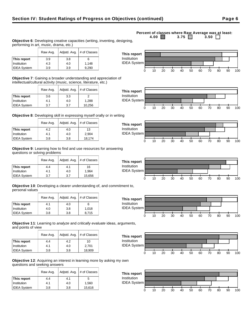## **Objective 6**: Developing creative capacities (writing, inventing, designing, performing in art, music, drama, etc.)

|                    | Raw Avg. |     | Adjstd. Avg.   # of Classes |
|--------------------|----------|-----|-----------------------------|
| This report        | 3.9      | 3.8 | 6                           |
| Institution        | 4.3      | 4.0 | 1,148                       |
| <b>IDEA</b> System | 3.9      | 3.9 | 9,290                       |

**Objective 7**: Gaining a broader understanding and appreciation of intellectual/cultural activity (music, science, literature, etc.)

|                    | Adjstd. Avg.<br>Raw Avg. |     | # of Classes |
|--------------------|--------------------------|-----|--------------|
| This report        | 3.6                      | 3.3 |              |
| Institution        | 4.1                      | 4.0 | 1,288        |
| <b>IDEA System</b> | 3.7                      | 3.7 | 10,256       |

**Objective 8**: Developing skill in expressing myself orally or in writing

|                    | Raw Avg. | Adjstd. Avg. | # of Classes |
|--------------------|----------|--------------|--------------|
| This report        | 4.2      | 4.0          | 13           |
| Institution        | 4.1      | 4.0          | 2.904        |
| <b>IDEA System</b> | 3.8      | 3.8          | 18,174       |

**Objective 9**: Learning how to find and use resources for answering questions or solving problems

|                    | Adjstd. Avg.<br>Raw Avg. |     | # of Classes |
|--------------------|--------------------------|-----|--------------|
| This report        | 4.4                      | 4.1 | 16           |
| Institution        | 4.1                      | 4.0 | 1,964        |
| <b>IDEA System</b> | 3.7                      | 3.7 | 15,656       |

**Objective 10**: Developing a clearer understanding of, and commitment to, personal values

|                    | Adjstd. Avg.<br>Raw Avg. |     | # of Classes |
|--------------------|--------------------------|-----|--------------|
| This report        | 4.1                      | 4.0 | 6            |
| Institution        | 4.0                      | 3.8 | 1.018        |
| <b>IDEA System</b> | 3.8                      | 3.8 | 8.715        |

**Objective 11**: Learning to analyze and critically evaluate ideas, arguments, and points of view

|                    | Raw Avg. | Adjstd. Avg. | # of Classes |
|--------------------|----------|--------------|--------------|
| This report        | 4.4      | 4.2          | 10           |
| Institution        | 4.1      | 4.0          | 2.701        |
| <b>IDEA System</b> | 3.8      | 3.8          | 18,909       |

**Objective 12**: Acquiring an interest in learning more by asking my own questions and seeking answers

|                    | Raw Avg. | Adjstd. Avg. | # of Classes |
|--------------------|----------|--------------|--------------|
| This report        | 4.4      | 4.1          | 5.           |
| Institution        | 4.1      | 4.0          | 1,560        |
| <b>IDEA System</b> | 3.8      | 3.8          | 15,616       |

#### **Percent of classes where Raw Average was at least:**<br>4.00 3.75 3.50 3.50 3.75  $\Box$

















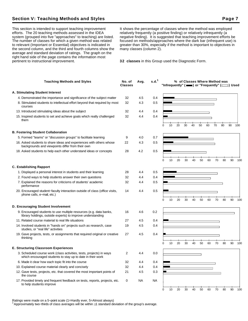# **Section V: Teaching Methods and Styles Page 7 Access Page 7 Access Page 7 Access Page 7**

This section is intended to support teaching improvement efforts. The 20 teaching methods assessed in the IDEA system (grouped into five "approaches" to teaching) are listed. The number of classes for which a given method was related to relevant (Important or Essential) objectives is indicated in the second column, and the third and fourth columns show the average and standard deviation of ratings. The graph on the right hand side of the page contains the information most pertinent to instructional improvement.

It shows the percentage of classes where the method was employed relatively frequently (a positive finding) or relatively infrequently (a negative finding). It is suggested that teaching improvement efforts be focused on methods/approaches where the dark bar (infrequent use) is greater than 30%, especially if the method is important to objectives in many classes (column 2).

**32 classes** in this Group used the Diagnostic Form.

| <b>Teaching Methods and Styles</b>                                                                                                 | No. of<br><b>Classes</b> | Avg. | s.d. <sup>1</sup> |   |    |    |    |    | % of Classes Where Method was<br>"Infrequently" ( $\equiv$ ) or "Frequently" ( $\equiv$ ) Used |    |    |    |    |     |
|------------------------------------------------------------------------------------------------------------------------------------|--------------------------|------|-------------------|---|----|----|----|----|------------------------------------------------------------------------------------------------|----|----|----|----|-----|
| A. Stimulating Student Interest                                                                                                    |                          |      |                   |   |    |    |    |    |                                                                                                |    |    |    |    |     |
| 4. Demonstrated the importance and significance of the subject matter                                                              | 32                       | 4.5  | 0.4               |   |    |    |    |    |                                                                                                |    |    |    |    |     |
| 8. Stimulated students to intellectual effort beyond that required by most<br>courses                                              | 32                       | 4.3  | 0.5               |   |    |    |    |    |                                                                                                |    |    |    |    |     |
| 13. Introduced stimulating ideas about the subject                                                                                 | 32                       | 4.4  | 0.4               |   |    |    |    |    |                                                                                                |    |    |    |    |     |
| 15. Inspired students to set and achieve goals which really challenged<br>them                                                     | 32                       | 4.4  | 0.4               |   |    |    |    |    |                                                                                                |    |    |    |    |     |
|                                                                                                                                    |                          |      |                   | 0 | 10 | 20 | 30 | 40 | 50                                                                                             | 60 | 70 | 80 | 90 | 100 |
| <b>B. Fostering Student Collaboration</b>                                                                                          |                          |      |                   |   |    |    |    |    |                                                                                                |    |    |    |    |     |
| 5. Formed "teams" or "discussion groups" to facilitate learning                                                                    | 9                        | 4.0  | 0.7               |   |    |    |    |    |                                                                                                |    |    |    |    |     |
| 16. Asked students to share ideas and experiences with others whose<br>backgrounds and viewpoints differ from their own            | 22                       | 4.3  | 0.5               |   |    |    |    |    |                                                                                                |    |    |    |    |     |
| 18. Asked students to help each other understand ideas or concepts                                                                 | 28                       | 4.2  | 0.5               |   |    |    |    |    |                                                                                                |    |    |    |    |     |
|                                                                                                                                    |                          |      |                   | 0 | 10 | 20 | 30 | 40 | 50                                                                                             | 60 | 70 | 80 | 90 | 100 |
| <b>C. Establishing Rapport</b>                                                                                                     |                          |      |                   |   |    |    |    |    |                                                                                                |    |    |    |    |     |
| 1. Displayed a personal interest in students and their learning                                                                    | 28                       | 4.4  | 0.5               |   |    |    |    |    |                                                                                                |    |    |    |    |     |
| 2. Found ways to help students answer their own questions                                                                          | 32                       | 4.4  | 0.4               |   |    |    |    |    |                                                                                                |    |    |    |    |     |
| 7. Explained the reasons for criticisms of students' academic<br>performance                                                       | 32                       | 4.4  | 0.5               |   |    |    |    |    |                                                                                                |    |    |    |    |     |
| 20. Encouraged student-faculty interaction outside of class (office visits,<br>phone calls, e-mail, etc.)                          | 14                       | 4.4  | 0.5               |   |    |    |    |    |                                                                                                |    |    |    |    |     |
|                                                                                                                                    |                          |      |                   | 0 | 10 | 20 | 30 | 40 | 50                                                                                             | 60 | 70 | 80 | 90 | 100 |
| D. Encouraging Student Involvement                                                                                                 |                          |      |                   |   |    |    |    |    |                                                                                                |    |    |    |    |     |
| 9. Encouraged students to use multiple resources (e.g. data banks,<br>library holdings, outside experts) to improve understanding  | 16                       | 4.6  | 0.2               |   |    |    |    |    |                                                                                                |    |    |    |    |     |
| 11. Related course material to real life situations                                                                                | 27                       | 4.5  | 0.4               |   |    |    |    |    |                                                                                                |    |    |    |    |     |
| 14. Involved students in "hands on" projects such as research, case<br>studies, or "real life" activities                          | 19                       | 4.5  | 0.4               |   |    |    |    |    |                                                                                                |    |    |    |    |     |
| 19. Gave projects, tests, or assignments that required original or creative<br>thinking                                            | 27                       | 4.5  | 0.4               |   |    |    |    |    |                                                                                                |    |    |    |    |     |
|                                                                                                                                    |                          |      |                   | n | 10 | 20 | 30 | 40 | 50                                                                                             | 60 | 70 | 80 | 90 | 100 |
| <b>E. Structuring Classroom Experiences</b>                                                                                        |                          |      |                   |   |    |    |    |    |                                                                                                |    |    |    |    |     |
| 3. Scheduled course work (class activities, tests, projects) in ways<br>which encouraged students to stay up to date in their work | 2                        | 4.4  | 0.0               |   |    |    |    |    |                                                                                                |    |    |    |    |     |
| 6. Made it clear how each topic fit into the course                                                                                | 32                       | 4.4  | 0.4               |   |    |    |    |    |                                                                                                |    |    |    |    |     |
| 10. Explained course material clearly and concisely                                                                                | 32                       | 4.4  | 0.4               |   |    |    |    |    |                                                                                                |    |    |    |    |     |
| 12. Gave tests, projects, etc. that covered the most important points of<br>the course                                             | 21                       | 4.5  | 0.3               |   |    |    |    |    |                                                                                                |    |    |    |    |     |
| 17. Provided timely and frequent feedback on tests, reports, projects, etc.<br>to help students improve                            | 0                        | NA   | <b>NA</b>         |   |    |    |    |    |                                                                                                |    |    |    |    |     |
|                                                                                                                                    |                          |      |                   | 0 | 10 | 20 | 30 | 40 | 50                                                                                             | 60 | 70 | 80 | 90 | 100 |

Ratings were made on a 5−point scale (1=Hardly ever, 5=Almost always)

<sup>1</sup>Approximately two−thirds of class averages will be within 1 standard deviation of the group's average.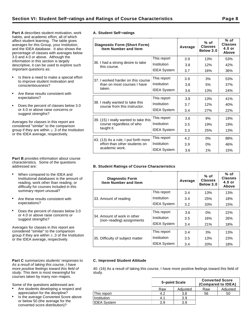**Part A** describes student motivation, work habits, and academic effort, all of which affect student learning. The table gives averages for this Group, your Institution, and the IDEA database. It also shows the percentage of classes with averages below 3.0 and 4.0 or above. Although the information in this section is largely descriptive, it can be used to explore such important questions as:

- Is there a need to make a special effort to improve student motivation and conscientiousness?
- Are these results consistent with expectations?
- Does the percent of classes below 3.0  $\bullet$ or 4.0 or above raise concerns or suggest strengths?

Averages for classes in this report are considered "similar" to the comparison group if they are within  $\pm$  .3 of the Institution or the IDEA average, respectively.

**Part B** provides information about course characteristics. Some of the questions addressed are:

- When compared to the IDEA and Institutional databases is the amount of reading, work other than reading, or difficulty for courses included in this summary report unusual?
- Are these results consistent with expectations?
- Does the percent of classes below 3.0 or 4.0 or above raise concerns or suggest strengths?

Averages for classes in this report are considered "similar" to the comparison group if they are within  $\pm$  .3 of the Institution or the IDEA average, respectively.

#### Part C summarizes students' responses to As a result of taking this course, I have more positive feelings toward this field of study. This item is most meaningful for courses taken by many non−majors.

Some of the questions addressed are:

- Are students developing a respect and appreciation for the discipline?
- Is the average Converted Score above or below 50 (the average for the converted score distribution)?

|  | A. Student Self-ratings |
|--|-------------------------|

| <b>Diagnostic Form (Short Form)</b><br><b>Item Number and Item</b> |                    | Average | $%$ of<br><b>Classes</b><br>Below 3.0 | % of<br><b>Classes</b><br>$4.0$ or<br>Above |
|--------------------------------------------------------------------|--------------------|---------|---------------------------------------|---------------------------------------------|
|                                                                    | This report        | 3.9     | 13%                                   | 53%                                         |
| 36. I had a strong desire to take<br>this course.                  | Institution        | 3.8     | 12%                                   | 42%                                         |
|                                                                    | <b>IDEA System</b> | 3.7     | 16%                                   | 36%                                         |
| 37. I worked harder on this course                                 | This report        | 3.9     | 3%                                    | 53%                                         |
| than on most courses I have                                        | Institution        | 3.8     | 5%                                    | 37%                                         |
| taken.                                                             | <b>IDEA System</b> | 3.6     | 13%                                   | 24%                                         |
|                                                                    | This report        | 3.8     | 13%                                   | 41%                                         |
| 38. I really wanted to take this<br>course from this instructor.   | Institution        | 3.7     | 12%                                   | 40%                                         |
|                                                                    | <b>IDEA System</b> | 3.4     | 27%                                   | 22%                                         |
| 39. (15) I really wanted to take this                              | This report        | 3.6     | 9%                                    | 19%                                         |
| course regardless of who                                           | Institution        | 3.5     | 19%                                   | 19%                                         |
| taught it.                                                         | <b>IDEA System</b> | 3.3     | 25%                                   | 13%                                         |
| 43. (13) As a rule, I put forth more                               | This report        | 4.2     | 0%                                    | 88%                                         |
| effort than other students on                                      | Institution        | 3.9     | 0%                                    | 46%                                         |
| academic work.                                                     | <b>IDEA System</b> | 3.6     | 1%                                    | 15%                                         |

## **B. Student Ratings of Course Characteristics**

| <b>Diagnostic Form</b><br><b>Item Number and Item</b>    |                    | Average | $%$ of<br><b>Classes</b><br>Below 3.0 | % of<br><b>Classes</b><br>$4.0$ or<br>Above |
|----------------------------------------------------------|--------------------|---------|---------------------------------------|---------------------------------------------|
|                                                          | This report        | 3.4     | 13%                                   | 13%                                         |
| 33. Amount of reading                                    | Institution        | 3.4     | 25%                                   | 18%                                         |
|                                                          | <b>IDEA System</b> | 3.2     | 33%                                   | 15%                                         |
|                                                          | This report        | 3.6     | $0\%$                                 | 22%                                         |
| 34. Amount of work in other<br>(non-reading) assignments | Institution        | 3.5     | 16%                                   | 26%                                         |
|                                                          | <b>IDEA System</b> | 3.4     | 21%                                   | 18%                                         |
|                                                          | This report        | 3.4     | 3%                                    | 13%                                         |
| 35. Difficulty of subject matter                         | Institution        | 3.5     | 13%                                   | 23%                                         |
|                                                          | <b>IDEA System</b> | 3.4     | 20%                                   | 18%                                         |

## **C. Improved Student Attitude**

40. (16) As a result of taking this course, I have more positive feelings toward this field of study.

|                    |     | 5-point Scale | <b>Converted Score</b> | (Compared to IDEA) |
|--------------------|-----|---------------|------------------------|--------------------|
|                    | Raw | Adjusted      | Raw                    | Adjusted           |
| This report        |     | 3.8           | 56                     | 50                 |
| Institution        | 4.1 | 3.9           |                        |                    |
| <b>IDEA System</b> | 3.9 | 3.9           |                        |                    |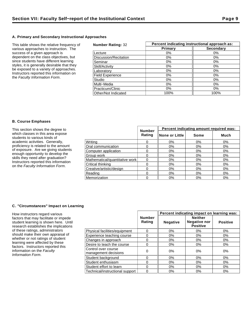## **A. Primary and Secondary Instructional Approaches**

This table shows the relative frequency of various approaches to instruction. The success of a given approach is dependent on the class objectives, but since students have different learning styles, it is generally desirable that they be exposed to a variety of approaches. Instructors reported this information on the Faculty Information Form.

| <b>Number Rating: 32</b> | Percent indicating instructional approach as: |                  |  |  |  |
|--------------------------|-----------------------------------------------|------------------|--|--|--|
|                          | Primary                                       | <b>Secondary</b> |  |  |  |
| Lecture                  | $0\%$                                         | $0\%$            |  |  |  |
| Discussion/Recitation    | 0%                                            | $0\%$            |  |  |  |
| Seminar                  | 0%                                            | 0%               |  |  |  |
| Skill/Activity           | 0%                                            | $0\%$            |  |  |  |
| Laboratory               | $0\%$                                         | 0%               |  |  |  |
| <b>Field Experience</b>  | 0%                                            | $0\%$            |  |  |  |
| Studio                   | $0\%$                                         | $0\%$            |  |  |  |
| Multi-Media              | $0\%$                                         | $0\%$            |  |  |  |
| Practicum/Clinic         | $0\%$                                         | $0\%$            |  |  |  |
| Other/Not Indicated      | 100%                                          | 100%             |  |  |  |

## **B. Course Emphases**

| This section shows the degree to                                                                                                                                                                                                                                       | <b>Number</b>                  | Percent indicating amount required was: |                 |       |       |
|------------------------------------------------------------------------------------------------------------------------------------------------------------------------------------------------------------------------------------------------------------------------|--------------------------------|-----------------------------------------|-----------------|-------|-------|
| which classes in this area expose<br>students to various kinds of                                                                                                                                                                                                      |                                | Rating                                  | ∥None or Little | Some  | Much  |
| academic activities. Generally,<br>proficiency is related to the amount<br>of exposure. Are we giving students<br>enough opportunity to develop the<br>skills they need after graduation?<br>Instructors reported this information<br>on the Faculty Information Form. | Writina                        |                                         | 0%              | 0%    | 0%    |
|                                                                                                                                                                                                                                                                        | Oral communication             |                                         | 0%              | 0%    | 0%    |
|                                                                                                                                                                                                                                                                        | Computer application           |                                         | $0\%$           | 0%    | 0%    |
|                                                                                                                                                                                                                                                                        | Group work                     |                                         | 0%              | $0\%$ | $0\%$ |
|                                                                                                                                                                                                                                                                        | Mathematical/quantitative work |                                         | 0%              | $0\%$ | 0%    |
|                                                                                                                                                                                                                                                                        | Critical thinking              |                                         | 0%              | 0%    | $0\%$ |
|                                                                                                                                                                                                                                                                        | Creative/artistic/design       |                                         | 0%              | 0%    | 0%    |
|                                                                                                                                                                                                                                                                        | Reading                        |                                         | 0%              | $0\%$ | 0%    |
|                                                                                                                                                                                                                                                                        | Memorization                   |                                         | 0%              | $0\%$ | 0%    |

## **C. "Circumstances" Impact on Learning**

How instructors regard various factors that may facilitate or impede student learning is shown here. Until research establishes the implications of these ratings, administrators should make their own appraisal of whether or not ratings of student learning were affected by these factors. Instructors reported this information on the Faculty Information Form.

|                                             |                         | Percent indicating impact on learning was: |                                                          |                 |  |
|---------------------------------------------|-------------------------|--------------------------------------------|----------------------------------------------------------|-----------------|--|
|                                             | <b>Number</b><br>Rating | <b>Negative</b>                            | <b>Neither</b><br><b>Negative nor</b><br><b>Positive</b> | <b>Positive</b> |  |
| Physical facilities/equipment               | 0                       | $0\%$                                      | $0\%$                                                    | $0\%$           |  |
| Experience teaching course                  | 0                       | $0\%$                                      | $0\%$                                                    | $0\%$           |  |
| Changes in approach                         | 0                       | $0\%$                                      | $0\%$                                                    | 0%              |  |
| Desire to teach the course                  | 0                       | $0\%$                                      | $0\%$                                                    | $0\%$           |  |
| Control over course<br>management decisions | 0                       | 0%                                         | 0%                                                       | 0%              |  |
| Student background                          | 0                       | $0\%$                                      | $0\%$                                                    | $0\%$           |  |
| Student enthusiasm                          | 0                       | 0%                                         | 0%                                                       | $0\%$           |  |
| Student effort to learn                     | 0                       | 0%                                         | 0%                                                       | $0\%$           |  |
| Technical/instructional support             | 0                       | 0%                                         | $0\%$                                                    | 0%              |  |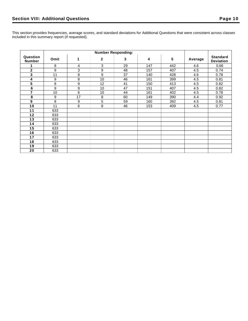|                           | <b>Number Responding:</b> |    |              |    |     |     |         |                                     |
|---------------------------|---------------------------|----|--------------|----|-----|-----|---------|-------------------------------------|
| Question<br><b>Number</b> | Omit                      | 1  | $\mathbf{2}$ | 3  | 4   | 5   | Average | <b>Standard</b><br><b>Deviation</b> |
|                           | 8                         | 4  | 3            | 29 | 147 | 442 | 4.6     | 0.66                                |
| $\mathbf{2}$              | 9                         | 3  | 9            | 48 | 157 | 407 | 4.5     | 0.74                                |
| 3                         | 11                        | 8  | 9            | 37 | 140 | 428 | 4.6     | 0.78                                |
| 4                         | 9                         | 8  | 10           | 46 | 161 | 399 | 4.5     | 0.81                                |
| 5                         | 8                         | 9  | 12           | 41 | 150 | 413 | 4.5     | 0.82                                |
| $6\phantom{a}$            | 9                         | 9  | 10           | 47 | 151 | 407 | 4.5     | 0.82                                |
| 7                         | 10                        | 6  | 10           | 44 | 161 | 402 | 4.5     | 0.78                                |
| 8                         | 9                         | 17 | 8            | 60 | 149 | 390 | 4.4     | 0.92                                |
| $\boldsymbol{9}$          | 8                         | 9  | 5            | 59 | 160 | 392 | 4.5     | 0.81                                |
| 10                        | 11                        | 6  | 8            | 46 | 153 | 409 | 4.5     | 0.77                                |
| 11                        | 633                       |    |              |    |     |     |         |                                     |
| 12                        | 633                       |    |              |    |     |     |         |                                     |
| 13                        | 633                       |    |              |    |     |     |         |                                     |
| 14                        | 633                       |    |              |    |     |     |         |                                     |
| 15                        | 633                       |    |              |    |     |     |         |                                     |
| 16                        | 633                       |    |              |    |     |     |         |                                     |
| 17                        | 633                       |    |              |    |     |     |         |                                     |
| 18                        | 633                       |    |              |    |     |     |         |                                     |
| 19                        | 633                       |    |              |    |     |     |         |                                     |
| 20                        | 633                       |    |              |    |     |     |         |                                     |